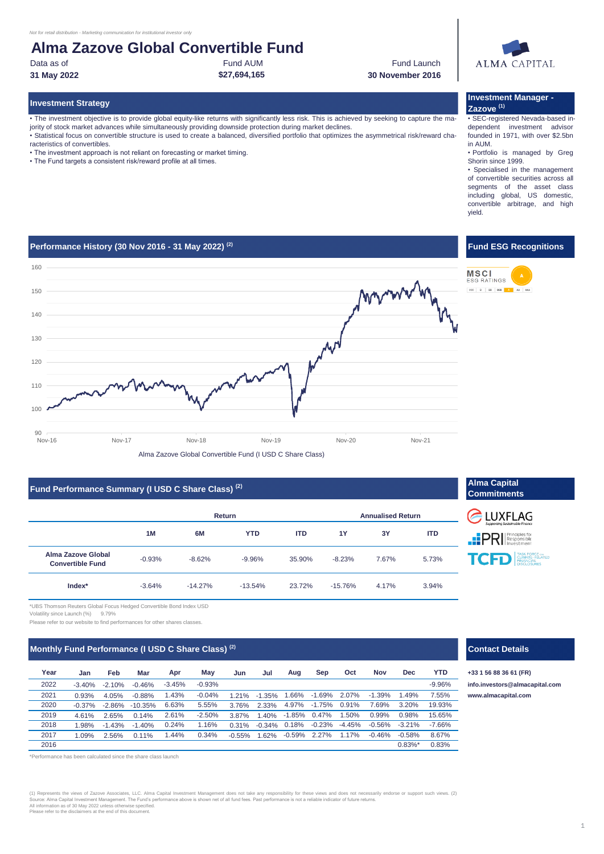# **Alma Zazove Global Convertible Fund**

Data as of **Fund AUM** Fund AUM Fund AUM **Fund Launch 31 May 2022 \$27,694,165 30 November 2016**



• The investment objective is to provide global equity-like returns with significantly less risk. This is achieved by seeking to capture the majority of stock market advances while simultaneously providing downside protection during market declines.

• Statistical focus on convertible structure is used to create a balanced, diversified portfolio that optimizes the asymmetrical risk/reward characteristics of convertibles.

- The investment approach is not reliant on forecasting or market timing.
- The Fund targets a consistent risk/reward profile at all times.

### **Investment Strategy Investment Manager - Zazove (1)**

• SEC-registered Nevada-based independent investment advisor founded in 1971, with over \$2.5bn in AUM.

• Portfolio is managed by Greg Shorin since 1999.

• Specialised in the management of convertible securities across all segments of the asset class including global, US domestic, convertible arbitrage, and high yield.

**Fund ESG Recognitions**

**ESG RATINGS** CCC B BB BBB A AA AAA

### **Performance History (30 Nov 2016 - 31 May 2022) (2)**



# **Fund Performance Summary (I USD C Share Class)<sup>(2)</sup> <b>Alma Capital Alma Capital Alma Capital Alma Capital Alma Capital Alma Capital Alma Capital Alma Capital Alma Capital Alma Capital Alma Capital Alma**

|                                               | Return   |           |            |            | <b>Annualised Return</b> |       |            |  |
|-----------------------------------------------|----------|-----------|------------|------------|--------------------------|-------|------------|--|
|                                               | 1M       | 6M        | <b>YTD</b> | <b>ITD</b> | 1Y                       | 3Y    | <b>ITD</b> |  |
| Alma Zazove Global<br><b>Convertible Fund</b> | $-0.93%$ | $-8.62%$  | $-9.96%$   | 35.90%     | $-8.23%$                 | 7.67% | 5.73%      |  |
| Index*                                        | $-3.64%$ | $-14.27%$ | $-13.54%$  | 23.72%     | $-15.76%$                | 4.17% | 3.94%      |  |



## **Monthly Fund Performance (I USD C Share Class)<sup>(2)</sup> <b>Contact Details Contact Details Contact Details**

\*UBS Thomson Reuters Global Focus Hedged Convertible Bond Index USD

Please refer to our website to find performances for other shares classes.

| Year | Jan      | Feb      | Mar       | Apr      | Mav      | Jun      | Jul       | Aug      | Sep      | Oct      | <b>Nov</b> | Dec        | <b>YTD</b> |
|------|----------|----------|-----------|----------|----------|----------|-----------|----------|----------|----------|------------|------------|------------|
| 2022 | $-3.40%$ | $-2.10%$ | $-0.46%$  | $-3.45%$ | $-0.93%$ |          |           |          |          |          |            |            | $-9.96%$   |
| 2021 | 0.93%    | 4.05%    | $-0.88%$  | 1.43%    | $-0.04%$ | 1.21%    | $-1.35\%$ | 1.66%    | $-1.69%$ | 2.07%    | $-1.39%$   | 1.49%      | 7.55%      |
| 2020 | $-0.37%$ | $-2.86%$ | $-10.35%$ | 6.63%    | 5.55%    | 3.76%    | 2.33%     | 4.97%    | $-1.75%$ | 0.91%    | 7.69%      | 3.20%      | 19.93%     |
| 2019 | 4.61%    | 2.65%    | 0.14%     | 2.61%    | $-2.50%$ | 3.87%    | 1.40%     | $-1.85%$ | 0.47%    | 1.50%    | 0.99%      | 0.98%      | 15.65%     |
| 2018 | 1.98%    | $-1.43%$ | $-1.40%$  | 0.24%    | 1.16%    | 0.31%    | $-0.34\%$ | 0.18%    | $-0.23%$ | $-4.45%$ | $-0.56%$   | $-3.21%$   | $-7.66%$   |
| 2017 | 1.09%    | 2.56%    | 0.11%     | 1.44%    | 0.34%    | $-0.55%$ | 1.62%     | $-0.59%$ | 2.27%    | 1.17%    | $-0.46%$   | $-0.58%$   | 8.67%      |
| 2016 |          |          |           |          |          |          |           |          |          |          |            | $0.83\%$ * | 0.83%      |

erformance has been calculated since the share class launch

(1) Represents the views of Zazove Associates, LLC. Alma Capital Investment Management does not take any responsibility for these views and does not necessarily endorse or support such views. (2)<br>Source: Alma Capital Inves

Volatility since Launch (%) 9.79%

### -3.40% -2.10% -0.46% **info.investors@almacapital.com** 0.93% 4.05% -0.88% 1.21% -1.35% **www.almacapital.com**

**+33 1 56 88 36 61 (FR)**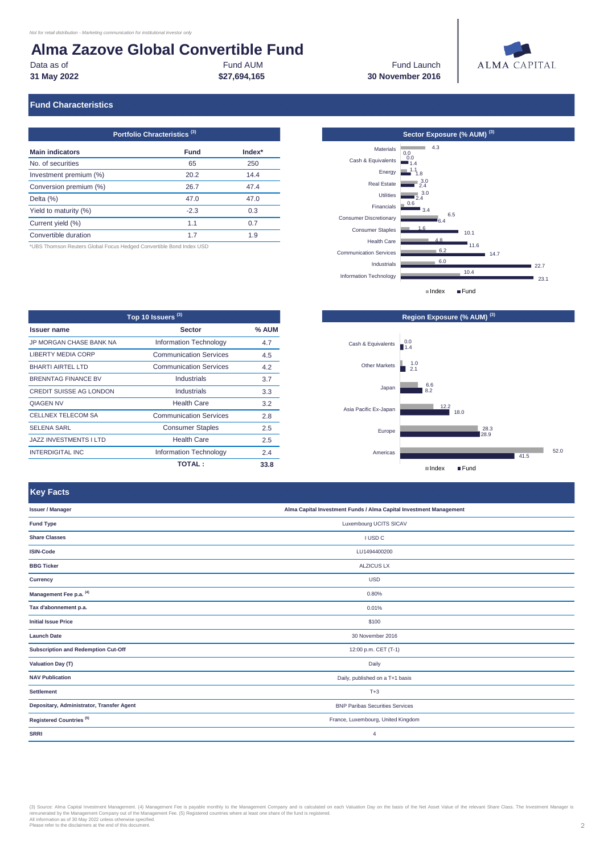# **Alma Zazove Global Convertible Fund**<br>Data as of<br>Fund AUM

**31 May 2022**

**\$27,694,165 30 November 2016 Fund Launch** 



## **Fund Characteristics**

| Portfolio Chracteristics <sup>(3)</sup> |             |          |  |  |
|-----------------------------------------|-------------|----------|--|--|
| <b>Main indicators</b>                  | <b>Fund</b> | $Index*$ |  |  |
| No. of securities                       | 65          | 250      |  |  |
| Investment premium (%)                  | 20.2        | 14.4     |  |  |
| Conversion premium (%)                  | 26.7        | 47.4     |  |  |
| Delta $(\%)$                            | 47.0        | 47.0     |  |  |
| Yield to maturity (%)                   | $-2.3$      | 0.3      |  |  |
| Current yield (%)                       | 1.1         | 0.7      |  |  |
| Convertible duration                    | 17          | 1.9      |  |  |

\*UBS Thomson Reuters Global Focus Hedged Convertible Bond Index USD

| Top 10 Issuers <sup>(3)</sup>  |                               |       |  |
|--------------------------------|-------------------------------|-------|--|
| <b>Issuer name</b>             | <b>Sector</b>                 | % AUM |  |
| JP MORGAN CHASE BANK NA        | Information Technology        | 4.7   |  |
| <b>LIBERTY MEDIA CORP</b>      | <b>Communication Services</b> | 4.5   |  |
| <b>BHARTI AIRTEL LTD</b>       | <b>Communication Services</b> | 4.2   |  |
| <b>BRENNTAG FINANCE BV</b>     | Industrials                   | 3.7   |  |
| <b>CREDIT SUISSE AG LONDON</b> | Industrials                   | 3.3   |  |
| <b>OIAGEN NV</b>               | <b>Health Care</b>            | 3.2   |  |
| CELLNEX TELECOM SA             | <b>Communication Services</b> | 2.8   |  |
| <b>SELENA SARL</b>             | <b>Consumer Staples</b>       | 2.5   |  |
| <b>JAZZ INVESTMENTS I LTD</b>  | <b>Health Care</b>            | 2.5   |  |
| <b>INTERDIGITAL INC</b>        | Information Technology        | 2.4   |  |
|                                | <b>TOTAL :</b>                | 33.8  |  |





## **Key Facts**

| <b>Manufacturer Manufacturer de</b>       |                                                                    |  |
|-------------------------------------------|--------------------------------------------------------------------|--|
| <b>Issuer / Manager</b>                   | Alma Capital Investment Funds / Alma Capital Investment Management |  |
| <b>Fund Type</b>                          | Luxembourg UCITS SICAV                                             |  |
| <b>Share Classes</b>                      | I USD C                                                            |  |
| <b>ISIN-Code</b>                          | LU1494400200                                                       |  |
| <b>BBG Ticker</b>                         | <b>ALZICUS LX</b>                                                  |  |
| Currency                                  | <b>USD</b>                                                         |  |
| Management Fee p.a. (4)                   | 0.80%                                                              |  |
| Tax d'abonnement p.a.                     | 0.01%                                                              |  |
| <b>Initial Issue Price</b>                | \$100                                                              |  |
| <b>Launch Date</b>                        | 30 November 2016                                                   |  |
| Subscription and Redemption Cut-Off       | 12:00 p.m. CET (T-1)                                               |  |
| <b>Valuation Day (T)</b>                  | Daily                                                              |  |
| <b>NAV Publication</b>                    | Daily, published on a T+1 basis                                    |  |
| <b>Settlement</b>                         | $T+3$                                                              |  |
| Depositary, Administrator, Transfer Agent | <b>BNP Paribas Securities Services</b>                             |  |
| Registered Countries <sup>(5)</sup>       | France, Luxembourg, United Kingdom                                 |  |
| <b>SRRI</b>                               | $\overline{4}$                                                     |  |

(3) Source: Alma Capital Investment Management. (4) Management Fee is payable monthly to the Management Company and is calculated on each Valuation Day on the basis of the Net Asset Value of the relevant Share Class. The I